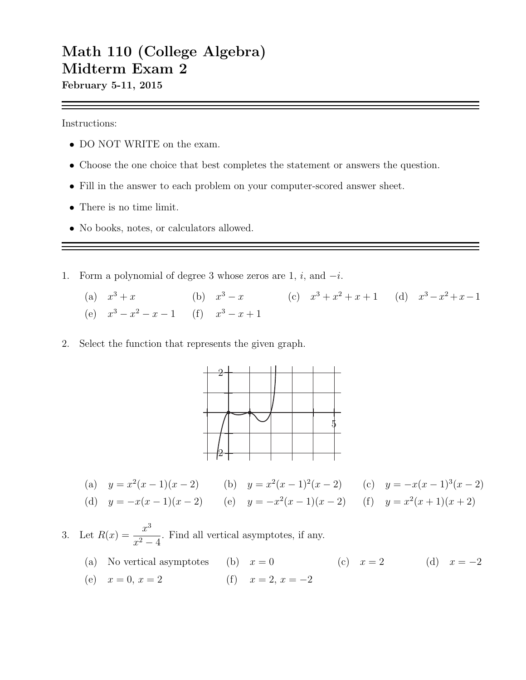## Math 110 (College Algebra) Midterm Exam 2

February 5-11, 2015

Instructions:

- DO NOT WRITE on the exam.
- Choose the one choice that best completes the statement or answers the question.
- Fill in the answer to each problem on your computer-scored answer sheet.
- There is no time limit.
- No books, notes, or calculators allowed.
- 1. Form a polynomial of degree 3 whose zeros are 1, i, and  $-i$ .
	- (a)  $x^3 + x$  (b)  $x^3 x$  (c)  $x^3 + x^2 + x + 1$  (d)  $x^3 x^2 + x 1$ (e)  $x^3 - x^2 - x - 1$  (f)  $x^3 - x + 1$
- 2. Select the function that represents the given graph.



- (a)  $y = x^2(x-1)(x-2)$  (b)  $y = x^2(x-1)^2(x-2)$  (c)  $y = -x(x-1)^3(x-2)$
- (d)  $y = -x(x-1)(x-2)$  (e)  $y = -x^2(x-1)(x-2)$  (f)  $y = x^2(x+1)(x+2)$

3. Let  $R(x) = \frac{x^3}{2}$  $\frac{x}{x^2-4}$ . Find all vertical asymptotes, if any.

- (a) No vertical asymptotes (b)  $x = 0$  (c)  $x = 2$  (d)  $x = -2$
- (e)  $x = 0, x = 2$  (f)  $x = 2, x = -2$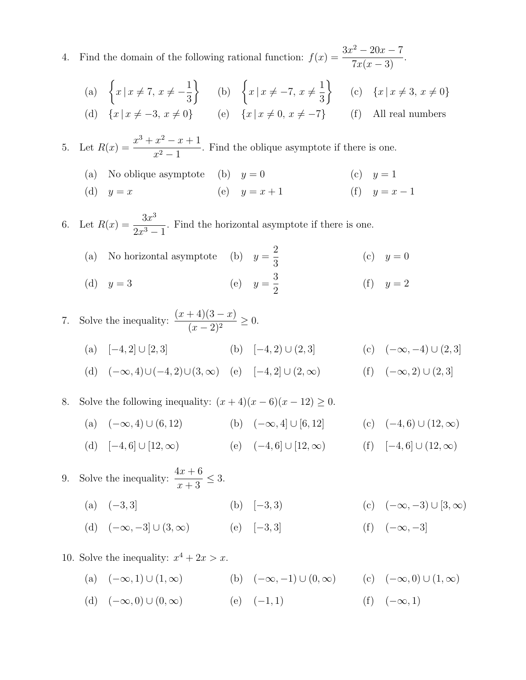4. Find the domain of the following rational function:  $f(x) = \frac{3x^2 - 20x - 7}{5(x - 3)}$  $\frac{20x}{7x(x-3)}$ .

(a) 
$$
\left\{ x \mid x \neq 7, x \neq -\frac{1}{3} \right\}
$$
 (b)  $\left\{ x \mid x \neq -7, x \neq \frac{1}{3} \right\}$  (c)  $\left\{ x \mid x \neq 3, x \neq 0 \right\}$   
(d)  $\left\{ x \mid x \neq -3, x \neq 0 \right\}$  (e)  $\left\{ x \mid x \neq 0, x \neq -7 \right\}$  (f) All real numbers

5. Let  $R(x) = \frac{x^3 + x^2 - x + 1}{x^2 - x}$  $\frac{x}{x^2-1}$ . Find the oblique asymptote if there is one.

(a) No oblique asymptote (b)  $y = 0$  (c)  $y = 1$ 

(d) 
$$
y = x
$$
 (e)  $y = x + 1$  (f)  $y = x - 1$ 

6. Let  $R(x) = \frac{3x^3}{2x^3}$  $\frac{3x}{2x^3-1}$ . Find the horizontal asymptote if there is one.

(a) No horizontal asymptote (b)  $y =$ 2 3 (c)  $y = 0$ (d)  $y = 3$ 3 2 (f)  $y = 2$ 

7. Solve the inequality: 
$$
\frac{(x+4)(3-x)}{(x-2)^2} \ge 0.
$$
  
\n(a)  $[-4,2] \cup [2,3]$   
\n(b)  $[-4,2] \cup (2,3]$   
\n(c)  $(-\infty,-4) \cup (2,3]$   
\n(d)  $(-\infty,4) \cup (-4,2) \cup (3,\infty)$   
\n(e)  $[-4,2] \cup (2,\infty)$   
\n(f)  $(-\infty,2) \cup (2,3]$ 

8. Solve the following inequality:  $(x+4)(x-6)(x-12) \ge 0$ .

(a)  $(-\infty, 4) \cup (6, 12)$  (b)  $(-\infty, 4] \cup [6, 12]$  (c)  $(-4, 6) \cup (12, \infty)$ 

(d) 
$$
[-4,6] \cup [12,\infty)
$$
 (e)  $(-4,6] \cup [12,\infty)$  (f)  $[-4,6] \cup (12,\infty)$ 

9. Solve the inequality:  $\frac{4x+6}{x}$  $x + 3$  $\leq 3$ . (a)  $(-3,3)$  (b)  $[-3,3)$  (c)  $(-\infty,-3) \cup [3,\infty)$ (d)  $(-\infty, -3] \cup (3, \infty)$  (e)  $[-3, 3]$  (f)  $(-\infty, -3]$ 

10. Solve the inequality:  $x^4 + 2x > x$ .

(a)  $(-\infty, 1) \cup (1, \infty)$  (b)  $(-\infty, -1) \cup (0, \infty)$  (c)  $(-\infty, 0) \cup (1, \infty)$ (d)  $(-\infty, 0) \cup (0, \infty)$  (e)  $(-1, 1)$  (f)  $(-\infty, 1)$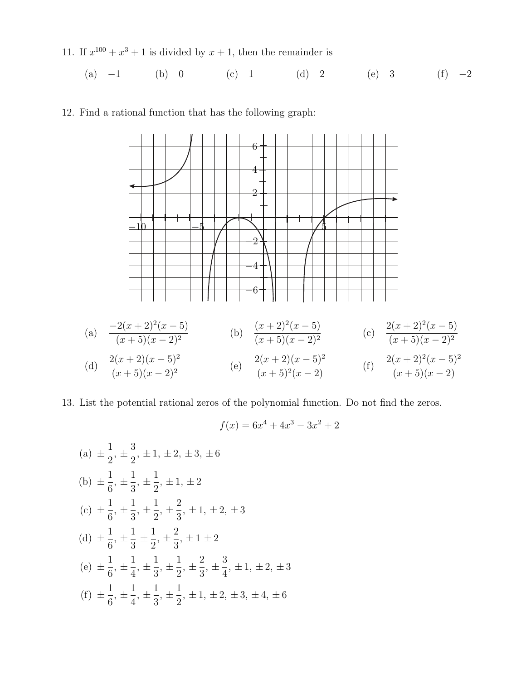11. If  $x^{100} + x^3 + 1$  is divided by  $x + 1$ , then the remainder is

(a) 
$$
-1
$$
 (b) 0 (c) 1 (d) 2 (e) 3 (f)  $-2$ 

12. Find a rational function that has the following graph:



13. List the potential rational zeros of the polynomial function. Do not find the zeros.

$$
f(x) = 6x^4 + 4x^3 - 3x^2 + 2
$$
  
(a)  $\pm \frac{1}{2}, \pm \frac{3}{2}, \pm 1, \pm 2, \pm 3, \pm 6$   
(b)  $\pm \frac{1}{6}, \pm \frac{1}{3}, \pm \frac{1}{2}, \pm 1, \pm 2$   
(c)  $\pm \frac{1}{6}, \pm \frac{1}{3}, \pm \frac{1}{2}, \pm \frac{2}{3}, \pm 1, \pm 2, \pm 3$   
(d)  $\pm \frac{1}{6}, \pm \frac{1}{3}, \pm \frac{1}{2}, \pm \frac{2}{3}, \pm 1 \pm 2$   
(e)  $\pm \frac{1}{6}, \pm \frac{1}{4}, \pm \frac{1}{3}, \pm \frac{1}{2}, \pm \frac{2}{3}, \pm \frac{3}{4}, \pm 1, \pm 2, \pm 3$   
(f)  $\pm \frac{1}{6}, \pm \frac{1}{4}, \pm \frac{1}{3}, \pm \frac{1}{2}, \pm 1, \pm 2, \pm 3, \pm 4, \pm 6$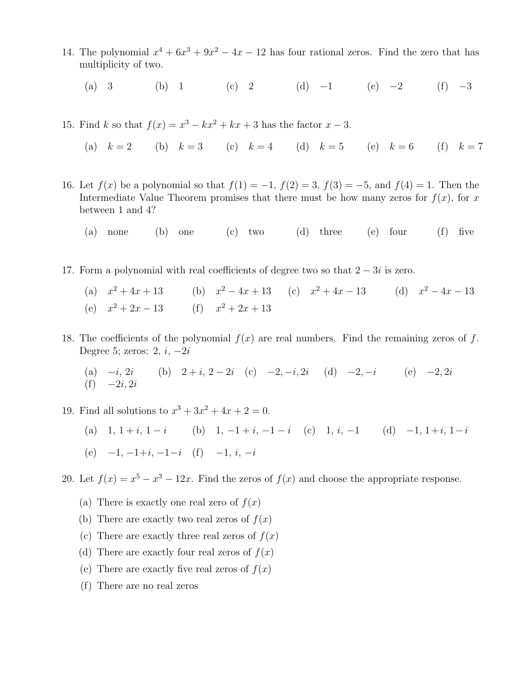- 14. The polynomial  $x^4 + 6x^3 + 9x^2 4x 12$  has four rational zeros. Find the zero that has multiplicity of two.
	- (a) 3 (b) 1 (c) 2 (d) −1 (e) −2 (f) −3
- 15. Find k so that  $f(x) = x^3 kx^2 + kx + 3$  has the factor  $x 3$ .
	- (a)  $k = 2$  (b)  $k = 3$  (c)  $k = 4$  (d)  $k = 5$  (e)  $k = 6$  (f)  $k = 7$
- 16. Let  $f(x)$  be a polynomial so that  $f(1) = -1$ ,  $f(2) = 3$ ,  $f(3) = -5$ , and  $f(4) = 1$ . Then the Intermediate Value Theorem promises that there must be how many zeros for  $f(x)$ , for x between 1 and 4?
	- (a) none (b) one (c) two (d) three (e) four (f) five
- 17. Form a polynomial with real coefficients of degree two so that  $2 3i$  is zero.
	- (a)  $x^2 + 4x + 13$  $x^2 + 4x + 13$  (b)  $x^2 - 4x + 13$  (c)  $x^2 + 4x - 13$  (d)  $x^2 - 4x - 13$ (e)  $x^2 + 2x - 13$  (f)  $x^2 + 2x + 13$
- 18. The coefficients of the polynomial  $f(x)$  are real numbers. Find the remaining zeros of f. Degree 5; zeros:  $2, i, -2i$

(a) 
$$
-i
$$
,  $2i$  (b)  $2 + i$ ,  $2 - 2i$  (c)  $-2$ ,  $-i$ ,  $2i$  (d)  $-2$ ,  $-i$  (e)  $-2$ ,  $2i$  (f)  $-2i$ ,  $2i$ 

- 19. Find all solutions to  $x^3 + 3x^2 + 4x + 2 = 0$ .
	- (a)  $1, 1 + i, 1 i$  (b)  $1, -1 + i, -1 i$  (c)  $1, i, -1$  (d)  $-1, 1+i, 1-i$ (e)  $-1, -1+i, -1-i$  (f)  $-1, i, -i$

20. Let  $f(x) = x^5 - x^3 - 12x$ . Find the zeros of  $f(x)$  and choose the appropriate response.

- (a) There is exactly one real zero of  $f(x)$
- (b) There are exactly two real zeros of  $f(x)$
- (c) There are exactly three real zeros of  $f(x)$
- (d) There are exactly four real zeros of  $f(x)$
- (e) There are exactly five real zeros of  $f(x)$
- (f) There are no real zeros